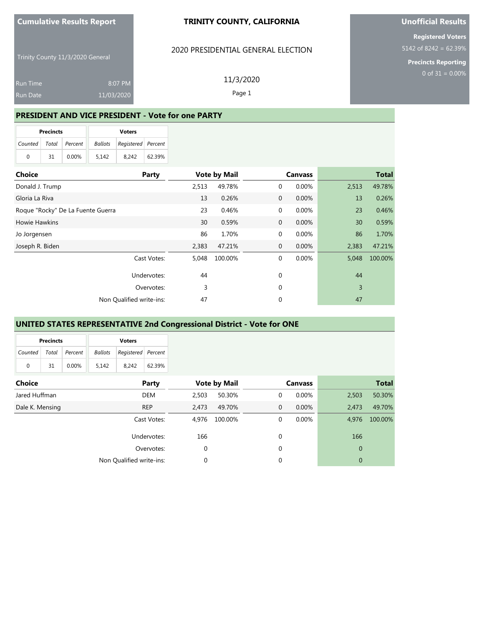### **TRINITY COUNTY, CALIFORNIA**

2020 PRESIDENTIAL GENERAL ELECTION

# **Unofficial Results**

**Registered Voters** 5142 of 8242 = 62.39%

**Precincts Reporting**

Trinity County 11/3/2020 General

| <b>Run Time</b> | 8:07 PM    |
|-----------------|------------|
| <b>Run Date</b> | 11/03/2020 |

11/3/2020 Page 1

### **PRESIDENT AND VICE PRESIDENT - Vote for one PARTY**

| <b>Precincts</b>          |     |          | <b>Voters</b> |                            |        |  |  |  |
|---------------------------|-----|----------|---------------|----------------------------|--------|--|--|--|
| Counted   Total   Percent |     |          |               | Ballots Registered Percent |        |  |  |  |
| $\Omega$                  | -31 | $0.00\%$ | 5.142         | 8.242                      | 62.39% |  |  |  |

| <b>Choice</b>                     | Party       |       | <b>Vote by Mail</b> |   | <b>Canvass</b> |       | <b>Total</b> |
|-----------------------------------|-------------|-------|---------------------|---|----------------|-------|--------------|
| Donald J. Trump                   |             | 2,513 | 49.78%              | 0 | 0.00%          | 2,513 | 49.78%       |
| Gloria La Riva                    |             | 13    | 0.26%               | 0 | 0.00%          | 13    | 0.26%        |
| Roque "Rocky" De La Fuente Guerra |             | 23    | 0.46%               | 0 | 0.00%          | 23    | 0.46%        |
| <b>Howie Hawkins</b>              |             | 30    | 0.59%               | 0 | 0.00%          | 30    | 0.59%        |
| Jo Jorgensen                      |             | 86    | 1.70%               | 0 | 0.00%          | 86    | 1.70%        |
| Joseph R. Biden                   |             | 2,383 | 47.21%              | 0 | 0.00%          | 2,383 | 47.21%       |
|                                   | Cast Votes: | 5,048 | 100.00%             | 0 | 0.00%          | 5,048 | 100.00%      |
|                                   | Undervotes: | 44    |                     | 0 |                | 44    |              |
|                                   | Overvotes:  | 3     |                     | 0 |                | 3     |              |
| Non Qualified write-ins:          |             | 47    |                     | 0 |                | 47    |              |

# **UNITED STATES REPRESENTATIVE 2nd Congressional District - Vote for ONE**

|          | <b>Precincts</b> |                 |         | <b>Voters</b>      |        |
|----------|------------------|-----------------|---------|--------------------|--------|
| Counted  |                  | Total   Percent | Ballots | Registered Percent |        |
| $\Omega$ | 31               | $0.00\%$        | 5,142   | 8.242              | 62.39% |

| <b>Choice</b>   | Party                    | <b>Vote by Mail</b> |         | <b>Canvass</b> |             |          | <b>Total</b> |         |
|-----------------|--------------------------|---------------------|---------|----------------|-------------|----------|--------------|---------|
| Jared Huffman   | <b>DEM</b>               | 2,503               | 50.30%  |                | 0           | 0.00%    | 2,503        | 50.30%  |
| Dale K. Mensing | <b>REP</b>               | 2.473               | 49.70%  |                | 0           | $0.00\%$ | 2.473        | 49.70%  |
|                 | Cast Votes:              | 4,976               | 100.00% |                | 0           | $0.00\%$ | 4,976        | 100.00% |
|                 | Undervotes:              | 166                 |         |                | 0           |          | 166          |         |
|                 | Overvotes:               | 0                   |         |                | 0           |          | $\mathbf{0}$ |         |
|                 | Non Qualified write-ins: | 0                   |         |                | $\mathbf 0$ |          | $\mathbf{0}$ |         |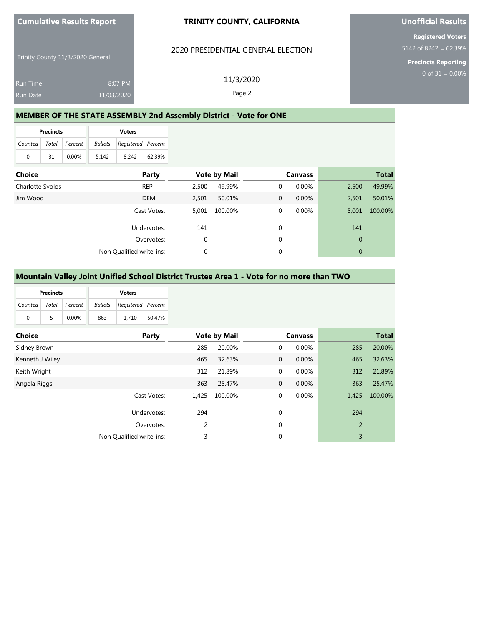### **TRINITY COUNTY, CALIFORNIA**

2020 PRESIDENTIAL GENERAL ELECTION

## **Unofficial Results**

**Registered Voters** 5142 of 8242 = 62.39%

**Precincts Reporting**

Trinity County 11/3/2020 General

| <b>Run Time</b> | 8:07 PM    | 11/3/2020 |
|-----------------|------------|-----------|
| Run Date        | 11/03/2020 | Page 2    |

## **MEMBER OF THE STATE ASSEMBLY 2nd Assembly District - Vote for ONE**

| <b>Precincts</b>          |     |          |                               | <b>Voters</b> |        |  |
|---------------------------|-----|----------|-------------------------------|---------------|--------|--|
| Counted   Total   Percent |     |          | Registered Percent<br>Ballots |               |        |  |
| $\Omega$                  | -31 | $0.00\%$ | 5.142                         | 8.242         | 62.39% |  |

| <b>Choice</b>    | Party                    |             | <b>Vote by Mail</b> |   | <b>Canvass</b> |                | <b>Total</b> |
|------------------|--------------------------|-------------|---------------------|---|----------------|----------------|--------------|
| Charlotte Svolos | <b>REP</b>               | 2,500       | 49.99%              | 0 | 0.00%          | 2,500          | 49.99%       |
| Jim Wood         | <b>DEM</b>               | 2,501       | 50.01%              | 0 | 0.00%          | 2,501          | 50.01%       |
|                  | Cast Votes:              | 5.001       | 100.00%             | 0 | 0.00%          | 5,001          | 100.00%      |
|                  | Undervotes:              | 141         |                     | 0 |                | 141            |              |
|                  | Overvotes:               | $\mathbf 0$ |                     | 0 |                | $\overline{0}$ |              |
|                  | Non Qualified write-ins: | 0           |                     | 0 |                | $\overline{0}$ |              |

#### **Mountain Valley Joint Unified School District Trustee Area 1 - Vote for no more than TWO**

|                       | <b>Precincts</b> |       |     | <b>Voters</b>              |        |
|-----------------------|------------------|-------|-----|----------------------------|--------|
| Counted Total Percent |                  |       |     | Ballots Registered Percent |        |
| 0                     | 5                | 0.00% | 863 | 1.710                      | 50.47% |

| <b>Choice</b>   | Party                    |       | <b>Vote by Mail</b> |   | <b>Canvass</b> |       | <b>Total</b> |
|-----------------|--------------------------|-------|---------------------|---|----------------|-------|--------------|
| Sidney Brown    |                          | 285   | 20.00%              | 0 | 0.00%          | 285   | 20.00%       |
| Kenneth J Wiley |                          | 465   | 32.63%              | 0 | $0.00\%$       | 465   | 32.63%       |
| Keith Wright    |                          | 312   | 21.89%              | 0 | 0.00%          | 312   | 21.89%       |
| Angela Riggs    |                          | 363   | 25.47%              | 0 | 0.00%          | 363   | 25.47%       |
|                 | Cast Votes:              | 1,425 | 100.00%             | 0 | 0.00%          | 1,425 | 100.00%      |
|                 | Undervotes:              | 294   |                     | 0 |                | 294   |              |
|                 | Overvotes:               | 2     |                     | 0 |                | 2     |              |
|                 | Non Qualified write-ins: | 3     |                     | 0 |                | 3     |              |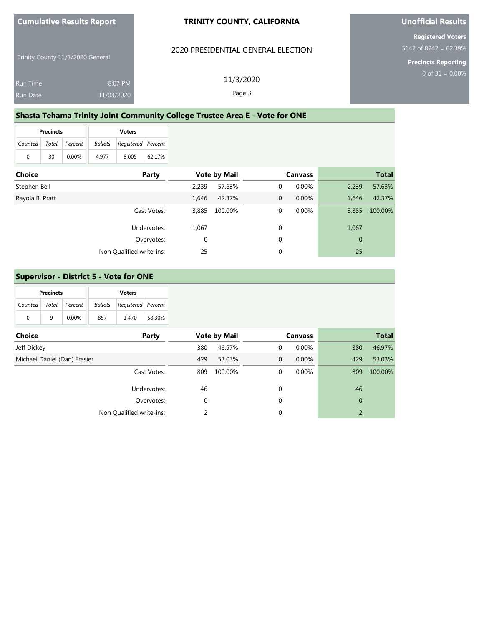### **TRINITY COUNTY, CALIFORNIA**

### 2020 PRESIDENTIAL GENERAL ELECTION

Trinity County 11/3/2020 General

| <b>Run Time</b> | 8:07 PM    | 11/3/2020 |
|-----------------|------------|-----------|
| <b>Run Date</b> | 11/03/2020 | Page 3    |

## **Shasta Tehama Trinity Joint Community College Trustee Area E - Vote for ONE**

| <b>Precincts</b> |    |               |                               | <b>Voters</b> |        |  |
|------------------|----|---------------|-------------------------------|---------------|--------|--|
| Counted          |    | Total Percent | Registered Percent<br>Ballots |               |        |  |
| $\Omega$         | 30 | $0.00\%$      | 4.977                         | 8.005         | 62.17% |  |

| <b>Choice</b>   | Party                    |             | <b>Vote by Mail</b> |   | <b>Canvass</b> |              | <b>Total</b> |
|-----------------|--------------------------|-------------|---------------------|---|----------------|--------------|--------------|
| Stephen Bell    |                          | 2.239       | 57.63%              | 0 | 0.00%          | 2,239        | 57.63%       |
| Rayola B. Pratt |                          | 1,646       | 42.37%              | 0 | 0.00%          | 1,646        | 42.37%       |
|                 | Cast Votes:              | 3.885       | 100.00%             | 0 | 0.00%          | 3,885        | 100.00%      |
|                 | Undervotes:              | 1.067       |                     | 0 |                | 1,067        |              |
|                 | Overvotes:               | $\mathbf 0$ |                     | 0 |                | $\mathbf{0}$ |              |
|                 | Non Qualified write-ins: | 25          |                     | 0 |                | 25           |              |

#### **Supervisor - District 5 - Vote for ONE**

| <b>Precincts</b>      |   |       | <b>Voters</b> |                                   |        |  |
|-----------------------|---|-------|---------------|-----------------------------------|--------|--|
| Counted Total Percent |   |       |               | <b>Ballots</b> Registered Percent |        |  |
| 0                     | q | 0.00% | 857           | 1.470                             | 58.30% |  |

| <b>Choice</b><br>Party       |                          |     | <b>Vote by Mail</b> |             | <b>Canvass</b> |                | <b>Total</b> |
|------------------------------|--------------------------|-----|---------------------|-------------|----------------|----------------|--------------|
| Jeff Dickey                  |                          | 380 | 46.97%              | 0           | 0.00%          | 380            | 46.97%       |
| Michael Daniel (Dan) Frasier |                          | 429 | 53.03%              | 0           | 0.00%          | 429            | 53.03%       |
|                              | Cast Votes:              | 809 | 100.00%             | 0           | 0.00%          | 809            | 100.00%      |
|                              | Undervotes:              | 46  |                     | $\mathbf 0$ |                | 46             |              |
|                              | Overvotes:               | 0   |                     | $\mathbf 0$ |                | $\mathbf{0}$   |              |
|                              | Non Qualified write-ins: |     |                     | $\mathbf 0$ |                | $\overline{2}$ |              |

## **Unofficial Results**

**Registered Voters** 5142 of 8242 = 62.39%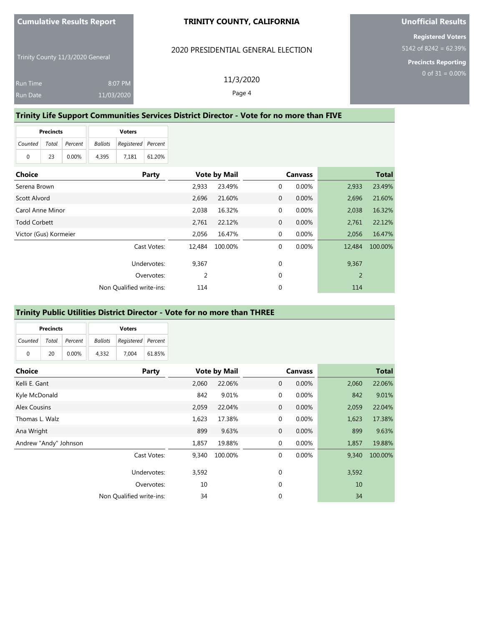### **TRINITY COUNTY, CALIFORNIA**

#### 2020 PRESIDENTIAL GENERAL ELECTION

11/3/2020 Page 4

Trinity County 11/3/2020 General

Run Time 8:07 PM 11/03/2020

#### **Trinity Life Support Communities Services District Director - Vote for no more than FIVE**

| <b>Precincts</b>      |    |          |                                   | <b>Voters</b> |        |  |  |
|-----------------------|----|----------|-----------------------------------|---------------|--------|--|--|
| Counted Total Percent |    |          | <b>Ballots</b> Registered Percent |               |        |  |  |
| 0                     | 23 | $0.00\%$ | 4.395                             | 7.181         | 61.20% |  |  |

| <b>Choice</b>         | Party                    |        | <b>Vote by Mail</b> | <b>Canvass</b> |          | <b>Total</b> |         |
|-----------------------|--------------------------|--------|---------------------|----------------|----------|--------------|---------|
| Serena Brown          |                          | 2,933  | 23.49%              | 0              | 0.00%    | 2,933        | 23.49%  |
| Scott Alvord          |                          | 2,696  | 21.60%              | 0              | 0.00%    | 2,696        | 21.60%  |
| Carol Anne Minor      |                          | 2.038  | 16.32%              | 0              | 0.00%    | 2,038        | 16.32%  |
| <b>Todd Corbett</b>   |                          | 2.761  | 22.12%              | 0              | $0.00\%$ | 2,761        | 22.12%  |
| Victor (Gus) Kormeier |                          | 2.056  | 16.47%              | 0              | 0.00%    | 2,056        | 16.47%  |
|                       | Cast Votes:              | 12,484 | 100.00%             | 0              | 0.00%    | 12,484       | 100.00% |
|                       | Undervotes:              | 9,367  |                     | 0              |          | 9,367        |         |
|                       | Overvotes:               | 2      |                     | 0              |          | 2            |         |
|                       | Non Qualified write-ins: | 114    |                     | 0              |          | 114          |         |

#### **Trinity Public Utilities District Director - Vote for no more than THREE**

| <b>Precincts</b>      |    |          | <b>Voters</b>  |                    |        |  |
|-----------------------|----|----------|----------------|--------------------|--------|--|
| Counted Total Percent |    |          | <b>Ballots</b> | Registered Percent |        |  |
| $\Omega$              | 20 | $0.00\%$ | 4.332          | 7.004              | 61.85% |  |

| <b>Choice</b>         | Party                    |       | <b>Vote by Mail</b> |             | <b>Canvass</b> |       | <b>Total</b> |         |
|-----------------------|--------------------------|-------|---------------------|-------------|----------------|-------|--------------|---------|
| Kelli E. Gant         |                          | 2,060 | 22.06%              | 0           |                | 0.00% | 2,060        | 22.06%  |
| Kyle McDonald         |                          | 842   | 9.01%               | 0           |                | 0.00% | 842          | 9.01%   |
| <b>Alex Cousins</b>   |                          | 2,059 | 22.04%              | $\mathbf 0$ |                | 0.00% | 2,059        | 22.04%  |
| Thomas L. Walz        |                          | 1,623 | 17.38%              | 0           |                | 0.00% | 1,623        | 17.38%  |
| Ana Wright            |                          | 899   | 9.63%               | 0           |                | 0.00% | 899          | 9.63%   |
| Andrew "Andy" Johnson |                          | 1,857 | 19.88%              | 0           |                | 0.00% | 1,857        | 19.88%  |
|                       | Cast Votes:              | 9,340 | 100.00%             | 0           |                | 0.00% | 9,340        | 100.00% |
|                       | Undervotes:              | 3,592 |                     | 0           |                |       | 3,592        |         |
|                       | Overvotes:               | 10    |                     | 0           |                |       | 10           |         |
|                       | Non Qualified write-ins: | 34    |                     | 0           |                |       | 34           |         |

## **Unofficial Results**

**Registered Voters** 5142 of 8242 = 62.39%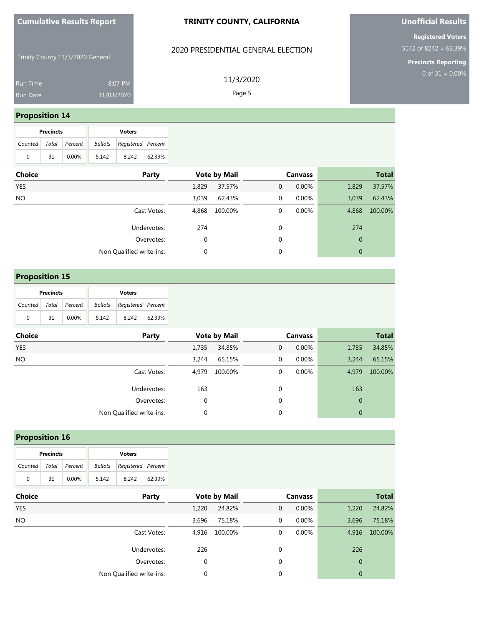### **TRINITY COUNTY, CALIFORNIA**

### 2020 PRESIDENTIAL GENERAL ELECTION

11/3/2020 Page 5

Trinity County 11/3/2020 General

Run Time 8:07 PM 11/03/2020

## **Proposition 14**

| <b>Precincts</b> |    |                 |                               | <b>Voters</b> |        |  |  |
|------------------|----|-----------------|-------------------------------|---------------|--------|--|--|
| Counted          |    | Total   Percent | Registered Percent<br>Ballots |               |        |  |  |
| $\Omega$         | 31 | 0.00%           | 5.142                         | 8.242         | 62.39% |  |  |

| Choice     | Party                    |          | <b>Vote by Mail</b> |             | <b>Canvass</b> |              | <b>Total</b> |
|------------|--------------------------|----------|---------------------|-------------|----------------|--------------|--------------|
| <b>YES</b> |                          | 1,829    | 37.57%              | 0           | 0.00%          | 1,829        | 37.57%       |
| <b>NO</b>  |                          | 3,039    | 62.43%              | $\mathbf 0$ | 0.00%          | 3,039        | 62.43%       |
|            | Cast Votes:              | 4,868    | 100.00%             | 0           | 0.00%          | 4,868        | 100.00%      |
|            | Undervotes:              | 274      |                     | $\mathbf 0$ |                | 274          |              |
|            | Overvotes:               | 0        |                     | $\mathbf 0$ |                | $\mathbf{0}$ |              |
|            | Non Qualified write-ins: | $\Omega$ |                     | 0           |                | $\mathbf{0}$ |              |
|            |                          |          |                     |             |                |              |              |

## **Proposition 15**

| <b>Precincts</b>          |     |       |       | <b>Voters</b>                     |        |
|---------------------------|-----|-------|-------|-----------------------------------|--------|
| Counted   Total   Percent |     |       |       | <b>Ballots</b> Registered Percent |        |
| 0                         | -31 | 0.00% | 5.142 | 8.242                             | 62.39% |

| <b>Choice</b> | Party                    |       | <b>Vote by Mail</b> |   | <b>Canvass</b> |                | <b>Total</b> |
|---------------|--------------------------|-------|---------------------|---|----------------|----------------|--------------|
| <b>YES</b>    |                          | 1,735 | 34.85%              | 0 | 0.00%          | 1,735          | 34.85%       |
| <b>NO</b>     |                          | 3.244 | 65.15%              | 0 | 0.00%          | 3,244          | 65.15%       |
|               | Cast Votes:              | 4,979 | 100.00%             | 0 | 0.00%          | 4,979          | 100.00%      |
|               | Undervotes:              | 163   |                     | 0 |                | 163            |              |
|               | Overvotes:               | 0     |                     | 0 |                | $\overline{0}$ |              |
|               | Non Qualified write-ins: | 0     |                     | 0 |                | $\overline{0}$ |              |

### **Proposition 16**

| <b>Precincts</b>          |    |       |         | <b>Voters</b>      |        |
|---------------------------|----|-------|---------|--------------------|--------|
| Counted   Total   Percent |    |       | Ballots | Registered Percent |        |
| $\Omega$                  | 31 | 0.00% | 5.142   | 8.242              | 62.39% |

| <b>Choice</b> | Party                    |       | <b>Vote by Mail</b> |   | <b>Canvass</b> |              | <b>Total</b> |
|---------------|--------------------------|-------|---------------------|---|----------------|--------------|--------------|
| <b>YES</b>    |                          | 1,220 | 24.82%              | 0 | $0.00\%$       | 1,220        | 24.82%       |
| <b>NO</b>     |                          | 3,696 | 75.18%              | 0 | $0.00\%$       | 3,696        | 75.18%       |
|               | Cast Votes:              | 4,916 | 100.00%             | 0 | 0.00%          | 4,916        | 100.00%      |
|               | Undervotes:              | 226   |                     | 0 |                | 226          |              |
|               | Overvotes:               | 0     |                     | 0 |                | $\mathbf{0}$ |              |
|               | Non Qualified write-ins: | 0     |                     | 0 |                | $\mathbf{0}$ |              |

# **Unofficial Results**

**Registered Voters** 5142 of 8242 = 62.39%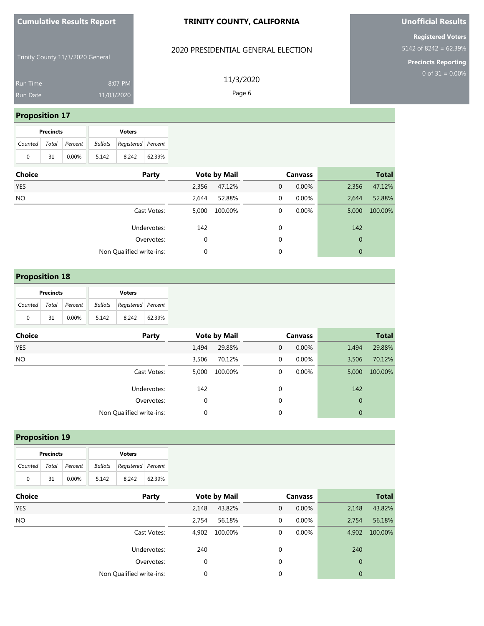### **TRINITY COUNTY, CALIFORNIA**

### 2020 PRESIDENTIAL GENERAL ELECTION

Trinity County 11/3/2020 General

Run Time 8:07 PM 11/03/2020

11/3/2020 Page 6

## **Proposition 17**

|                           | <b>Precincts</b> |       |       | <b>Voters</b>                  |        |  |  |  |
|---------------------------|------------------|-------|-------|--------------------------------|--------|--|--|--|
| Counted   Total   Percent |                  |       |       | Ballots   Registered   Percent |        |  |  |  |
| $\Omega$                  | 31               | 0.00% | 5.142 | 8.242                          | 62.39% |  |  |  |

| Choice     | Party                    |             | <b>Vote by Mail</b> |             | <b>Canvass</b> |              | <b>Total</b> |
|------------|--------------------------|-------------|---------------------|-------------|----------------|--------------|--------------|
| <b>YES</b> |                          | 2,356       | 47.12%              | $\mathbf 0$ | 0.00%          | 2,356        | 47.12%       |
| <b>NO</b>  |                          | 2,644       | 52.88%              | $\mathbf 0$ | $0.00\%$       | 2,644        | 52.88%       |
|            | Cast Votes:              | 5,000       | 100.00%             | $\mathbf 0$ | 0.00%          | 5,000        | 100.00%      |
|            | Undervotes:              | 142         |                     | $\mathbf 0$ |                | 142          |              |
|            | Overvotes:               | $\mathbf 0$ |                     | $\mathbf 0$ |                | $\mathbf 0$  |              |
|            | Non Qualified write-ins: | $\mathbf 0$ |                     | 0           |                | $\mathbf{0}$ |              |
|            |                          |             |                     |             |                |              |              |

## **Proposition 18**

|                       | <b>Precincts</b> |       | <b>Voters</b>                     |       |        |  |  |
|-----------------------|------------------|-------|-----------------------------------|-------|--------|--|--|
| Counted Total Percent |                  |       | <b>Ballots</b> Registered Percent |       |        |  |  |
| 0                     | 31               | 0.00% | 5.142                             | 8.242 | 62.39% |  |  |

| <b>Choice</b> | Party                    |       | <b>Vote by Mail</b> |             | <b>Canvass</b> |              | <b>Total</b> |
|---------------|--------------------------|-------|---------------------|-------------|----------------|--------------|--------------|
| <b>YES</b>    |                          | 1.494 | 29.88%              | $\mathbf 0$ | $0.00\%$       | 1,494        | 29.88%       |
| <b>NO</b>     |                          | 3,506 | 70.12%              | $\mathbf 0$ | 0.00%          | 3,506        | 70.12%       |
|               | Cast Votes:              | 5,000 | 100.00%             | 0           | 0.00%          | 5,000        | 100.00%      |
|               | Undervotes:              | 142   |                     | $\mathbf 0$ |                | 142          |              |
|               | Overvotes:               | 0     |                     | $\mathbf 0$ |                | $\mathbf{0}$ |              |
|               | Non Qualified write-ins: | 0     |                     | 0           |                | $\mathbf{0}$ |              |

### **Proposition 19**

| <b>Precincts</b>      |    |       | <b>Voters</b>                 |       |        |  |
|-----------------------|----|-------|-------------------------------|-------|--------|--|
| Counted Total Percent |    |       | Registered Percent<br>Ballots |       |        |  |
| $\Omega$              | 31 | 0.00% | 5.142                         | 8.242 | 62.39% |  |

| <b>Choice</b> | Party                    |       | <b>Vote by Mail</b> |   | <b>Canvass</b> |                | <b>Total</b> |  |
|---------------|--------------------------|-------|---------------------|---|----------------|----------------|--------------|--|
| <b>YES</b>    |                          | 2,148 | 43.82%              | 0 | 0.00%          | 2,148          | 43.82%       |  |
| <b>NO</b>     |                          | 2,754 | 56.18%              | 0 | $0.00\%$       | 2,754          | 56.18%       |  |
|               | Cast Votes:              | 4.902 | 100.00%             | 0 | $0.00\%$       | 4,902          | 100.00%      |  |
|               | Undervotes:              | 240   |                     | 0 |                | 240            |              |  |
|               | Overvotes:               | 0     |                     | 0 |                | $\overline{0}$ |              |  |
|               | Non Qualified write-ins: | 0     |                     | 0 |                | $\mathbf{0}$   |              |  |

# **Unofficial Results**

**Registered Voters** 5142 of 8242 = 62.39%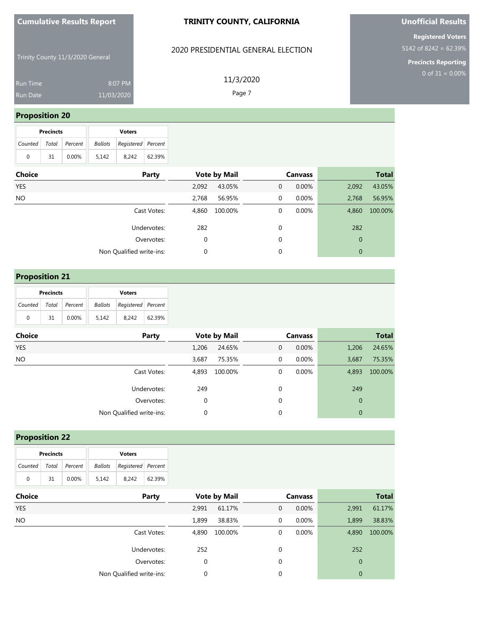### **TRINITY COUNTY, CALIFORNIA**

### 2020 PRESIDENTIAL GENERAL ELECTION

Trinity County 11/3/2020 General

| <b>Run Time</b> | $8:07$ PM  |  |
|-----------------|------------|--|
| <b>Run Date</b> | 11/03/2020 |  |

11/3/2020 Page 7

## **Proposition 20**

| <b>Precincts</b> |    |               | <b>Voters</b> |                                   |        |  |  |
|------------------|----|---------------|---------------|-----------------------------------|--------|--|--|
| Counted          |    | Total Percent |               | <b>Ballots</b> Registered Percent |        |  |  |
| 0                | 31 | $0.00\%$      | 5.142         | 8.242                             | 62.39% |  |  |

| Choice     | Party                    |       | <b>Vote by Mail</b> |   | <b>Canvass</b> |              | <b>Total</b> |
|------------|--------------------------|-------|---------------------|---|----------------|--------------|--------------|
| <b>YES</b> |                          | 2,092 | 43.05%              | 0 | 0.00%          | 2,092        | 43.05%       |
| <b>NO</b>  |                          | 2,768 | 56.95%              | 0 | 0.00%          | 2,768        | 56.95%       |
|            | Cast Votes:              | 4,860 | 100.00%             | 0 | 0.00%          | 4,860        | 100.00%      |
|            | Undervotes:              | 282   |                     | 0 |                | 282          |              |
|            | Overvotes:               | 0     |                     | 0 |                | $\mathbf{0}$ |              |
|            | Non Qualified write-ins: | 0     |                     | 0 |                | $\mathbf{0}$ |              |
|            |                          |       |                     |   |                |              |              |

## **Proposition 21**

|                       | <b>Precincts</b> |       | <b>Voters</b>                     |       |        |  |  |
|-----------------------|------------------|-------|-----------------------------------|-------|--------|--|--|
| Counted Total Percent |                  |       | <b>Ballots</b> Registered Percent |       |        |  |  |
| 0                     | 31               | 0.00% | 5.142                             | 8.242 | 62.39% |  |  |

| <b>Choice</b> | Party                    |       | <b>Vote by Mail</b> |             | <b>Canvass</b> |              | <b>Total</b> |
|---------------|--------------------------|-------|---------------------|-------------|----------------|--------------|--------------|
| <b>YES</b>    |                          | 1,206 | 24.65%              | $\mathbf 0$ | $0.00\%$       | 1,206        | 24.65%       |
| <b>NO</b>     |                          | 3,687 | 75.35%              | $\mathbf 0$ | 0.00%          | 3,687        | 75.35%       |
|               | Cast Votes:              | 4,893 | 100.00%             | 0           | 0.00%          | 4,893        | 100.00%      |
|               | Undervotes:              | 249   |                     | $\mathbf 0$ |                | 249          |              |
|               | Overvotes:               | 0     |                     | $\mathbf 0$ |                | $\mathbf{0}$ |              |
|               | Non Qualified write-ins: | 0     |                     | 0           |                | $\mathbf{0}$ |              |

## **Proposition 22**

|                           | <b>Precincts</b> |       |         | <b>Voters</b>      |        |
|---------------------------|------------------|-------|---------|--------------------|--------|
| Counted   Total   Percent |                  |       | Ballots | Registered Percent |        |
| $\Omega$                  | 31               | 0.00% | 5.142   | 8.242              | 62.39% |

| <b>Choice</b> | Party                    |       | <b>Vote by Mail</b> |   | <b>Canvass</b> |              | <b>Total</b> |
|---------------|--------------------------|-------|---------------------|---|----------------|--------------|--------------|
| <b>YES</b>    |                          | 2,991 | 61.17%              | 0 | 0.00%          | 2,991        | 61.17%       |
| <b>NO</b>     |                          | 1,899 | 38.83%              | 0 | $0.00\%$       | 1,899        | 38.83%       |
|               | Cast Votes:              | 4,890 | 100.00%             | 0 | $0.00\%$       | 4,890        | 100.00%      |
|               | Undervotes:              | 252   |                     | 0 |                | 252          |              |
|               | Overvotes:               | 0     |                     | 0 |                | $\mathbf{0}$ |              |
|               | Non Qualified write-ins: | 0     |                     | 0 |                | $\mathbf{0}$ |              |

# **Unofficial Results**

**Registered Voters** 5142 of 8242 = 62.39%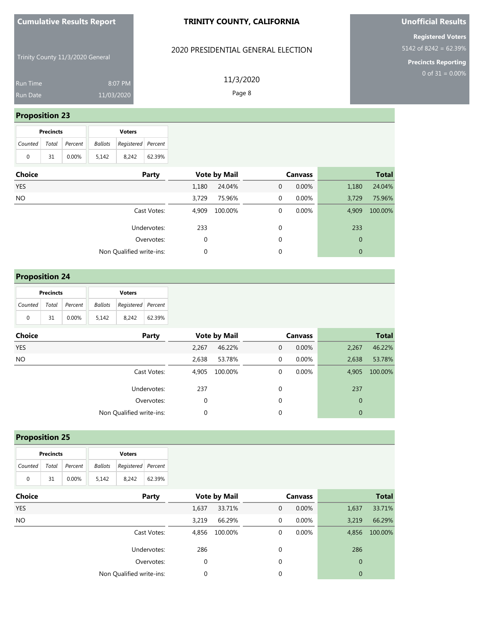### **TRINITY COUNTY, CALIFORNIA**

### 2020 PRESIDENTIAL GENERAL ELECTION

Trinity County 11/3/2020 General

| <b>Run Time</b> | 8:07 PM    |
|-----------------|------------|
| <b>Run Date</b> | 11/03/2020 |

11/3/2020 Page 8

## **Proposition 23**

|                       | <b>Precincts</b> |          |       | <b>Voters</b>              |        |
|-----------------------|------------------|----------|-------|----------------------------|--------|
| Counted Total Percent |                  |          |       | Ballots Registered Percent |        |
| 0                     | 31               | $0.00\%$ | 5.142 | 8.242                      | 62.39% |

| <b>Choice</b> | Party                    |             | <b>Vote by Mail</b> |   | <b>Canvass</b> |              | <b>Total</b> |
|---------------|--------------------------|-------------|---------------------|---|----------------|--------------|--------------|
| <b>YES</b>    |                          | 1,180       | 24.04%              | 0 | 0.00%          | 1,180        | 24.04%       |
| <b>NO</b>     |                          | 3.729       | 75.96%              | 0 | 0.00%          | 3,729        | 75.96%       |
|               | Cast Votes:              | 4.909       | 100.00%             | 0 | $0.00\%$       | 4,909        | 100.00%      |
|               | Undervotes:              | 233         |                     | 0 |                | 233          |              |
|               | Overvotes:               | $\mathbf 0$ |                     | 0 |                | $\mathbf{0}$ |              |
|               | Non Qualified write-ins: | $\mathbf 0$ |                     | 0 |                | $\mathbf{0}$ |              |
|               |                          |             |                     |   |                |              |              |

## **Proposition 24**

|   | <b>Precincts</b> |                       |       | <b>Voters</b>                     |        |
|---|------------------|-----------------------|-------|-----------------------------------|--------|
|   |                  | Counted Total Percent |       | <b>Ballots</b> Registered Percent |        |
| 0 | 31               | 0.00%                 | 5.142 | 8.242                             | 62.39% |

| <b>Choice</b> | Party                    |       | <b>Vote by Mail</b> |             | <b>Canvass</b> |              | <b>Total</b> |
|---------------|--------------------------|-------|---------------------|-------------|----------------|--------------|--------------|
| <b>YES</b>    |                          | 2.267 | 46.22%              | $\mathbf 0$ | $0.00\%$       | 2,267        | 46.22%       |
| <b>NO</b>     |                          | 2,638 | 53.78%              | $\mathbf 0$ | 0.00%          | 2,638        | 53.78%       |
|               | Cast Votes:              | 4,905 | 100.00%             | 0           | 0.00%          | 4,905        | 100.00%      |
|               | Undervotes:              | 237   |                     | $\mathbf 0$ |                | 237          |              |
|               | Overvotes:               | 0     |                     | $\mathbf 0$ |                | $\mathbf{0}$ |              |
|               | Non Qualified write-ins: | 0     |                     | 0           |                | $\mathbf{0}$ |              |

## **Proposition 25**

|                       | <b>Precincts</b> |       |         | <b>Voters</b>      |        |
|-----------------------|------------------|-------|---------|--------------------|--------|
| Counted Total Percent |                  |       | Ballots | Registered Percent |        |
| $\Omega$              | 31               | 0.00% | 5.142   | 8.242              | 62.39% |

| <b>Choice</b> | Party                    |       | <b>Vote by Mail</b> |   | <b>Canvass</b> |                | <b>Total</b> |
|---------------|--------------------------|-------|---------------------|---|----------------|----------------|--------------|
| <b>YES</b>    |                          | 1,637 | 33.71%              | 0 | 0.00%          | 1,637          | 33.71%       |
| <b>NO</b>     |                          | 3.219 | 66.29%              | 0 | $0.00\%$       | 3,219          | 66.29%       |
|               | Cast Votes:              | 4,856 | 100.00%             | 0 | $0.00\%$       | 4,856          | 100.00%      |
|               | Undervotes:              | 286   |                     | 0 |                | 286            |              |
|               | Overvotes:               | 0     |                     | 0 |                | $\overline{0}$ |              |
|               | Non Qualified write-ins: | 0     |                     | 0 |                | $\mathbf{0}$   |              |

# **Unofficial Results**

**Registered Voters** 5142 of 8242 = 62.39%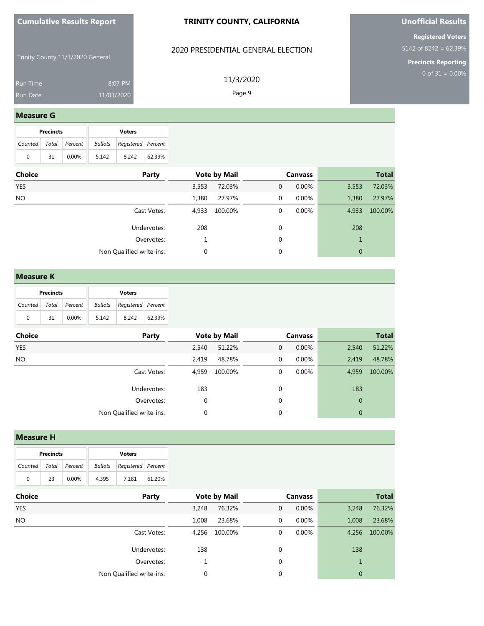### **TRINITY COUNTY, CALIFORNIA**

### 2020 PRESIDENTIAL GENERAL ELECTION

Trinity County 11/3/2020 General

8:07 PM 11/03/2020

11/3/2020 Page 9

### **Measure G**

|                       | <b>Precincts</b> |          |         | <b>Voters</b>      |        |
|-----------------------|------------------|----------|---------|--------------------|--------|
| Counted Total Percent |                  |          | Ballots | Registered Percent |        |
| 0                     | 31               | $0.00\%$ | 5.142   | 8.242              | 62.39% |

| <b>Choice</b> | Party                    |       | <b>Vote by Mail</b> |             | <b>Canvass</b> |              | <b>Total</b> |
|---------------|--------------------------|-------|---------------------|-------------|----------------|--------------|--------------|
| YES           |                          | 3,553 | 72.03%              | 0           | 0.00%          | 3,553        | 72.03%       |
| <b>NO</b>     |                          | 1,380 | 27.97%              | $\mathbf 0$ | 0.00%          | 1,380        | 27.97%       |
|               | Cast Votes:              | 4,933 | 100.00%             | 0           | 0.00%          | 4,933        | 100.00%      |
|               | Undervotes:              | 208   |                     | $\mathbf 0$ |                | 208          |              |
|               | Overvotes:               |       |                     | 0           |                |              |              |
|               | Non Qualified write-ins: | 0     |                     | 0           |                | $\mathbf{0}$ |              |
|               |                          |       |                     |             |                |              |              |

#### **Measure K**

|                 | <b>Precincts</b> |          |       | <b>Voters</b>                         |        |
|-----------------|------------------|----------|-------|---------------------------------------|--------|
| Counted   Total |                  | Percent  |       | <b>Ballots</b>   Registered   Percent |        |
| 0               | -31              | $0.00\%$ | 5.142 | 8.242                                 | 62.39% |

| <b>Choice</b> | Party                    | <b>Vote by Mail</b> |         |   | <b>Canvass</b> |              | <b>Total</b> |
|---------------|--------------------------|---------------------|---------|---|----------------|--------------|--------------|
| <b>YES</b>    |                          | 2,540               | 51.22%  | 0 | 0.00%          | 2,540        | 51.22%       |
| <b>NO</b>     |                          | 2,419               | 48.78%  | 0 | 0.00%          | 2,419        | 48.78%       |
|               | Cast Votes:              | 4,959               | 100.00% | 0 | 0.00%          | 4,959        | 100.00%      |
|               | Undervotes:              | 183                 |         | 0 |                | 183          |              |
|               | Overvotes:               | 0                   |         | 0 |                | $\mathbf{0}$ |              |
|               | Non Qualified write-ins: | 0                   |         | 0 |                | $\mathbf{0}$ |              |

#### **Measure H**

|                       | <b>Precincts</b> |          | <b>Voters</b> |                                   |        |  |  |
|-----------------------|------------------|----------|---------------|-----------------------------------|--------|--|--|
| Counted Total Percent |                  |          |               | <b>Ballots</b> Registered Percent |        |  |  |
| $\Omega$              | 23               | $0.00\%$ | 4.395         | 7.181                             | 61.20% |  |  |

| <b>Choice</b> | Party                    | <b>Vote by Mail</b> |         | <b>Canvass</b> |       |              | <b>Total</b> |
|---------------|--------------------------|---------------------|---------|----------------|-------|--------------|--------------|
| <b>YES</b>    |                          | 3,248               | 76.32%  | 0              | 0.00% | 3,248        | 76.32%       |
| <b>NO</b>     |                          | 1.008               | 23.68%  | 0              | 0.00% | 1,008        | 23.68%       |
|               | Cast Votes:              | 4,256               | 100.00% | 0              | 0.00% | 4,256        | 100.00%      |
|               | Undervotes:              | 138                 |         | 0              |       | 138          |              |
|               | Overvotes:               |                     |         | 0              |       |              |              |
|               | Non Qualified write-ins: | 0                   |         | 0              |       | $\mathbf{0}$ |              |

# **Unofficial Results**

**Registered Voters** 5142 of 8242 = 62.39%